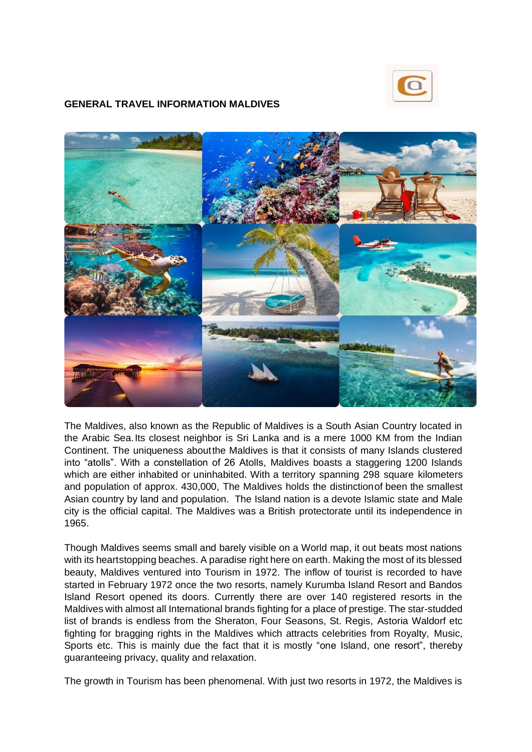

## **GENERAL TRAVEL INFORMATION MALDIVES**



The Maldives, also known as the Republic of Maldives is a South Asian Country located in the Arabic Sea.Its closest neighbor is Sri Lanka and is a mere 1000 KM from the Indian Continent. The uniqueness aboutthe Maldives is that it consists of many Islands clustered into "atolls". With a constellation of 26 Atolls, Maldives boasts a staggering 1200 Islands which are either inhabited or uninhabited. With a territory spanning 298 square kilometers and population of approx. 430,000, The Maldives holds the distinctionof been the smallest Asian country by land and population. The Island nation is a devote Islamic state and Male city is the official capital. The Maldives was a British protectorate until its independence in 1965.

Though Maldives seems small and barely visible on a World map, it out beats most nations with its heartstopping beaches. A paradise right here on earth. Making the most of its blessed beauty, Maldives ventured into Tourism in 1972. The inflow of tourist is recorded to have started in February 1972 once the two resorts, namely Kurumba Island Resort and Bandos Island Resort opened its doors. Currently there are over 140 registered resorts in the Maldives with almost all International brands fighting for a place of prestige. The star-studded list of brands is endless from the Sheraton, Four Seasons, St. Regis, Astoria Waldorf etc fighting for bragging rights in the Maldives which attracts celebrities from Royalty, Music, Sports etc. This is mainly due the fact that it is mostly "one Island, one resort", thereby guaranteeing privacy, quality and relaxation.

The growth in Tourism has been phenomenal. With just two resorts in 1972, the Maldives is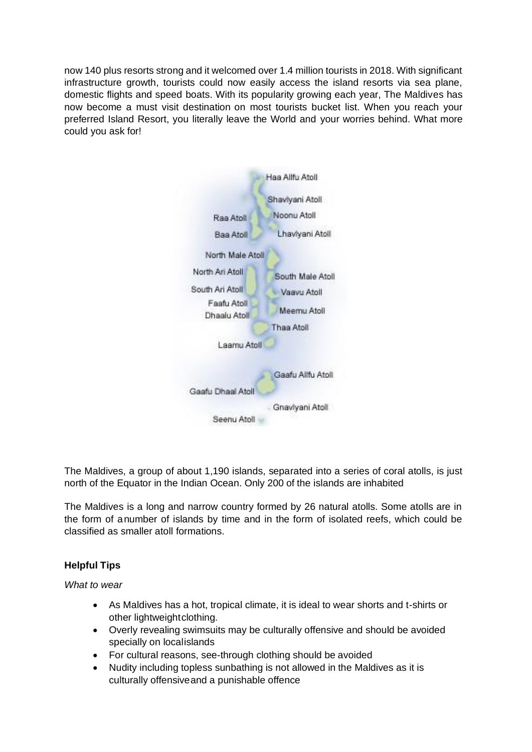now 140 plus resorts strong and it welcomed over 1.4 million tourists in 2018. With significant infrastructure growth, tourists could now easily access the island resorts via sea plane, domestic flights and speed boats. With its popularity growing each year, The Maldives has now become a must visit destination on most tourists bucket list. When you reach your preferred Island Resort, you literally leave the World and your worries behind. What more could you ask for!



The Maldives, a group of about 1,190 islands, separated into a series of coral atolls, is just north of the Equator in the Indian Ocean. Only 200 of the islands are inhabited

The Maldives is a long and narrow country formed by 26 natural atolls. Some atolls are in the form of anumber of islands by time and in the form of isolated reefs, which could be classified as smaller atoll formations.

## **Helpful Tips**

*What to wear*

- As Maldives has a hot, tropical climate, it is ideal to wear shorts and t-shirts or other lightweightclothing.
- Overly revealing swimsuits may be culturally offensive and should be avoided specially on localislands
- For cultural reasons, see-through clothing should be avoided
- Nudity including topless sunbathing is not allowed in the Maldives as it is culturally offensiveand a punishable offence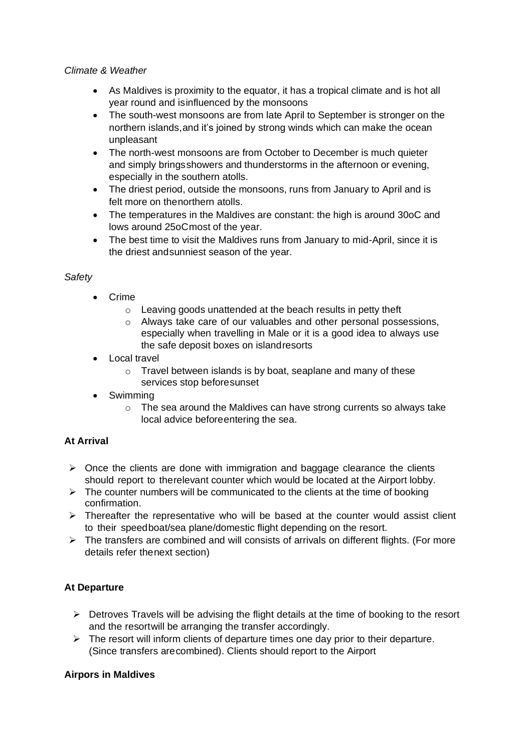## *Climate & Weather*

- As Maldives is proximity to the equator, it has a tropical climate and is hot all year round and isinfluenced by the monsoons
- The south-west monsoons are from late April to September is stronger on the northern islands,and it's joined by strong winds which can make the ocean unpleasant
- The north-west monsoons are from October to December is much quieter and simply bringsshowers and thunderstorms in the afternoon or evening, especially in the southern atolls.
- The driest period, outside the monsoons, runs from January to April and is felt more on thenorthern atolls.
- The temperatures in the Maldives are constant: the high is around 30oC and lows around 25oCmost of the year.
- The best time to visit the Maldives runs from January to mid-April, since it is the driest andsunniest season of the year.

# *Safety*

- Crime
	- o Leaving goods unattended at the beach results in petty theft
	- o Always take care of our valuables and other personal possessions, especially when travelling in Male or it is a good idea to always use the safe deposit boxes on islandresorts
- Local travel
	- o Travel between islands is by boat, seaplane and many of these services stop beforesunset
- Swimming
	- o The sea around the Maldives can have strong currents so always take local advice beforeentering the sea.

# **At Arrival**

- $\triangleright$  Once the clients are done with immigration and baggage clearance the clients should report to therelevant counter which would be located at the Airport lobby.
- $\triangleright$  The counter numbers will be communicated to the clients at the time of booking confirmation.
- ➢ Thereafter the representative who will be based at the counter would assist client to their speedboat/sea plane/domestic flight depending on the resort.
- ➢ The transfers are combined and will consists of arrivals on different flights. (For more details refer thenext section)

# **At Departure**

- ➢ Detroves Travels will be advising the flight details at the time of booking to the resort and the resortwill be arranging the transfer accordingly.
- $\triangleright$  The resort will inform clients of departure times one day prior to their departure. (Since transfers arecombined). Clients should report to the Airport

## **Airpors in Maldives**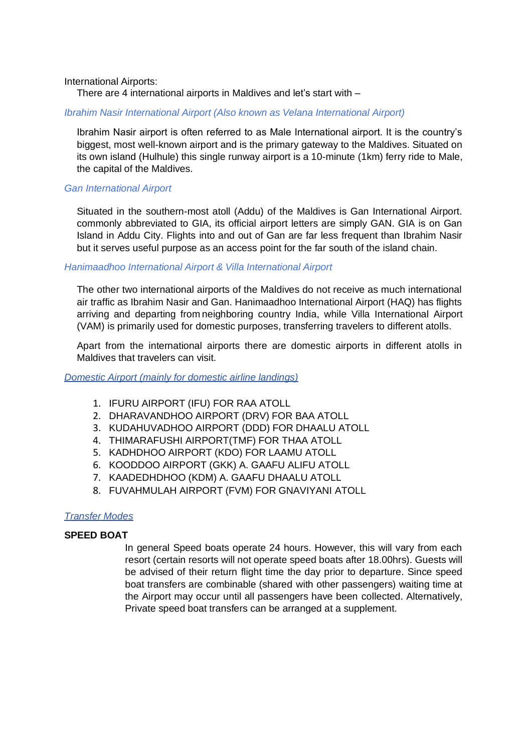#### International Airports:

There are 4 international airports in Maldives and let's start with –

#### *Ibrahim Nasir International Airport (Also known as Velana International Airport)*

Ibrahim Nasir airport is often referred to as Male International airport. It is the country's biggest, most well-known airport and is the primary gateway to the Maldives. Situated on its own island (Hulhule) this single runway airport is a 10-minute (1km) ferry ride to Male, the capital of the Maldives.

#### *Gan International Airport*

Situated in the southern-most atoll (Addu) of the Maldives is Gan International Airport. commonly abbreviated to GIA, its official airport letters are simply GAN. GIA is on Gan Island in Addu City. Flights into and out of Gan are far less frequent than Ibrahim Nasir but it serves useful purpose as an access point for the far south of the island chain.

#### *Hanimaadhoo International Airport & Villa International Airport*

The other two international airports of the Maldives do not receive as much international air traffic as Ibrahim Nasir and Gan. Hanimaadhoo International Airport (HAQ) has flights arriving and departing from neighboring country India, while Villa International Airport (VAM) is primarily used for domestic purposes, transferring travelers to different atolls.

Apart from the international airports there are domestic airports in different atolls in Maldives that travelers can visit.

*Domestic Airport (mainly for domestic airline landings)*

- 1. IFURU AIRPORT (IFU) FOR RAA ATOLL
- 2. DHARAVANDHOO AIRPORT (DRV) FOR BAA ATOLL
- 3. KUDAHUVADHOO AIRPORT (DDD) FOR DHAALU ATOLL
- 4. THIMARAFUSHI AIRPORT(TMF) FOR THAA ATOLL
- 5. KADHDHOO AIRPORT (KDO) FOR LAAMU ATOLL
- 6. KOODDOO AIRPORT (GKK) A. GAAFU ALIFU ATOLL
- 7. KAADEDHDHOO (KDM) A. GAAFU DHAALU ATOLL
- 8. FUVAHMULAH AIRPORT (FVM) FOR GNAVIYANI ATOLL

## *Transfer Modes*

#### **SPEED BOAT**

In general Speed boats operate 24 hours. However, this will vary from each resort (certain resorts will not operate speed boats after 18.00hrs). Guests will be advised of their return flight time the day prior to departure. Since speed boat transfers are combinable (shared with other passengers) waiting time at the Airport may occur until all passengers have been collected. Alternatively, Private speed boat transfers can be arranged at a supplement.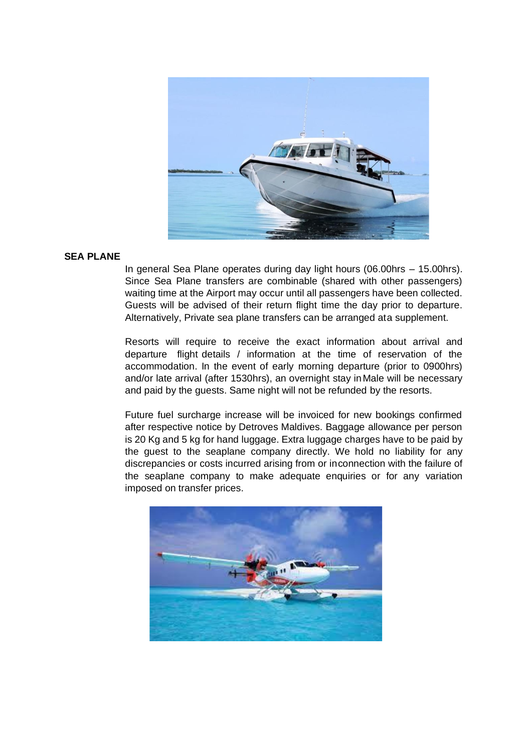

#### **SEA PLANE**

In general Sea Plane operates during day light hours (06.00hrs – 15.00hrs). Since Sea Plane transfers are combinable (shared with other passengers) waiting time at the Airport may occur until all passengers have been collected. Guests will be advised of their return flight time the day prior to departure. Alternatively, Private sea plane transfers can be arranged ata supplement.

Resorts will require to receive the exact information about arrival and departure flight details / information at the time of reservation of the accommodation. In the event of early morning departure (prior to 0900hrs) and/or late arrival (after 1530hrs), an overnight stay inMale will be necessary and paid by the guests. Same night will not be refunded by the resorts.

Future fuel surcharge increase will be invoiced for new bookings confirmed after respective notice by Detroves Maldives. Baggage allowance per person is 20 Kg and 5 kg for hand luggage. Extra luggage charges have to be paid by the guest to the seaplane company directly. We hold no liability for any discrepancies or costs incurred arising from or inconnection with the failure of the seaplane company to make adequate enquiries or for any variation imposed on transfer prices.